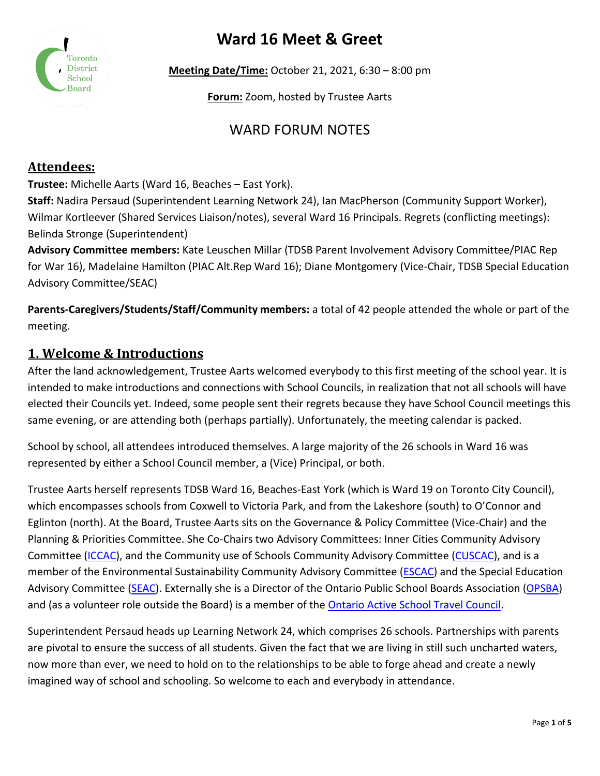# **Ward 16 Meet & Greet**



**Meeting Date/Time:** October 21, 2021, 6:30 – 8:00 pm

**Forum:** Zoom, hosted by Trustee Aarts

## WARD FORUM NOTES

### **Attendees:**

**Trustee:** Michelle Aarts (Ward 16, Beaches – East York).

**Staff:** Nadira Persaud (Superintendent Learning Network 24), Ian MacPherson (Community Support Worker), Wilmar Kortleever (Shared Services Liaison/notes), several Ward 16 Principals. Regrets (conflicting meetings): Belinda Stronge (Superintendent)

**Advisory Committee members:** Kate Leuschen Millar (TDSB Parent Involvement Advisory Committee/PIAC Rep for War 16), Madelaine Hamilton (PIAC Alt.Rep Ward 16); Diane Montgomery (Vice-Chair, TDSB Special Education Advisory Committee/SEAC)

**Parents-Caregivers/Students/Staff/Community members:** a total of 42 people attended the whole or part of the meeting.

#### **1. Welcome & Introductions**

After the land acknowledgement, Trustee Aarts welcomed everybody to this first meeting of the school year. It is intended to make introductions and connections with School Councils, in realization that not all schools will have elected their Councils yet. Indeed, some people sent their regrets because they have School Council meetings this same evening, or are attending both (perhaps partially). Unfortunately, the meeting calendar is packed.

School by school, all attendees introduced themselves. A large majority of the 26 schools in Ward 16 was represented by either a School Council member, a (Vice) Principal, or both.

Trustee Aarts herself represents TDSB Ward 16, Beaches-East York (which is Ward 19 on Toronto City Council), which encompasses schools from Coxwell to Victoria Park, and from the Lakeshore (south) to O'Connor and Eglinton (north). At the Board, Trustee Aarts sits on the Governance & Policy Committee (Vice-Chair) and the Planning & Priorities Committee. She Co-Chairs two Advisory Committees: Inner Cities Community Advisory Committee [\(ICCAC\)](https://www.tdsb.on.ca/Community/How-to-Get-Involved/Advisory-Committees/Community-Advisory-Committees/Inner-City-Community-Advisory-Committee), and the Community use of Schools Community Advisory Committee [\(CUSCAC\)](https://www.tdsb.on.ca/Community/How-to-Get-Involved/Advisory-Committees/Community-Advisory-Committees/Community-Use-of-Schools-Community-Advisory-Committee), and is a member of the Environmental Sustainability Community Advisory Committee [\(ESCAC\)](https://www.tdsb.on.ca/Community/How-to-Get-Involved/Advisory-Committees/Community-Advisory-Committees/Environmental-Sustainability-Community-Advisory-Committee) and the Special Education Advisory Committee [\(SEAC\)](https://www.tdsb.on.ca/Community/How-to-Get-Involved/Advisory-Committees/Statutory-Advisory-Committees/Special-Education-Advisory-Committee). Externally she is a Director of the Ontario Public School Boards Association [\(OPSBA\)](https://www.opsba.org/) and (as a volunteer role outside the Board) is a member of the [Ontario Active School Travel Council.](https://ontarioactiveschooltravel.ca/council/)

Superintendent Persaud heads up Learning Network 24, which comprises 26 schools. Partnerships with parents are pivotal to ensure the success of all students. Given the fact that we are living in still such uncharted waters, now more than ever, we need to hold on to the relationships to be able to forge ahead and create a newly imagined way of school and schooling. So welcome to each and everybody in attendance.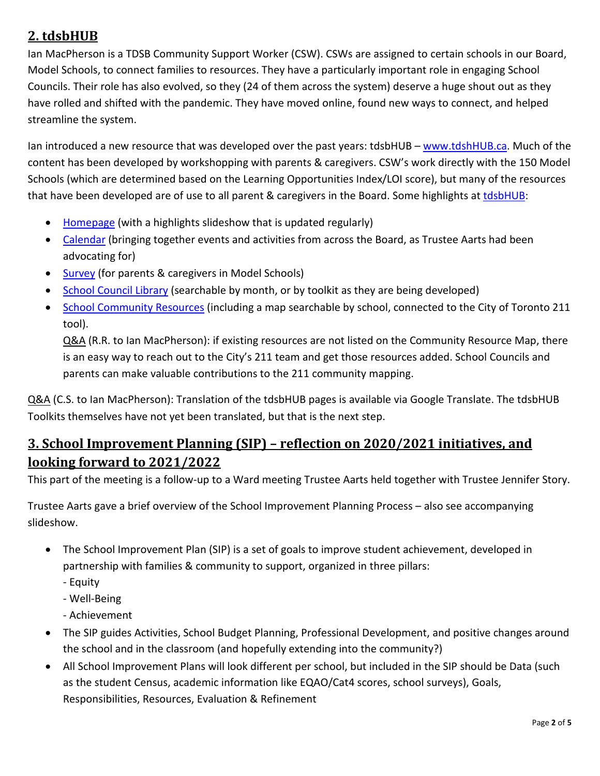## **2. tdsbHUB**

Ian MacPherson is a TDSB Community Support Worker (CSW). CSWs are assigned to certain schools in our Board, Model Schools, to connect families to resources. They have a particularly important role in engaging School Councils. Their role has also evolved, so they (24 of them across the system) deserve a huge shout out as they have rolled and shifted with the pandemic. They have moved online, found new ways to connect, and helped streamline the system.

Ian introduced a new resource that was developed over the past years: tdsbHUB – [www.tdshHUB.ca.](http://www.tdshhub.ca/) Much of the content has been developed by workshopping with parents & caregivers. CSW's work directly with the 150 Model Schools (which are determined based on the Learning Opportunities Index/LOI score), but many of the resources that have been developed are of use to all parent & caregivers in the Board. Some highlights at [tdsbHUB:](http://www.tdshhub.ca/)

- [Homepage](http://www.tdsbhub.ca/) (with a highlights slideshow that is updated regularly)
- [Calendar](https://sites.google.com/tdsb.on.ca/csws/calendar) (bringing together events and activities from across the Board, as Trustee Aarts had been advocating for)
- [Survey](https://sites.google.com/tdsb.on.ca/csws/parentcaregiver-survey) (for parents & caregivers in Model Schools)
- [School Council Library](https://sites.google.com/tdsb.on.ca/csws/school-council) (searchable by month, or by toolkit as they are being developed)
- [School Community Resources](https://sites.google.com/tdsb.on.ca/csws/community-resources) (including a map searchable by school, connected to the City of Toronto 211 tool).

Q&A (R.R. to Ian MacPherson): if existing resources are not listed on the Community Resource Map, there is an easy way to reach out to the City's 211 team and get those resources added. School Councils and parents can make valuable contributions to the 211 community mapping.

Q&A (C.S. to Ian MacPherson): Translation of the tdsbHUB pages is available via Google Translate. The tdsbHUB Toolkits themselves have not yet been translated, but that is the next step.

### **3. School Improvement Planning (SIP) – reflection on 2020/2021 initiatives, and looking forward to 2021/2022**

This part of the meeting is a follow-up to a Ward meeting Trustee Aarts held together with Trustee Jennifer Story.

Trustee Aarts gave a brief overview of the School Improvement Planning Process – also see accompanying slideshow.

- The School Improvement Plan (SIP) is a set of goals to improve student achievement, developed in partnership with families & community to support, organized in three pillars:
	- Equity
	- Well-Being
	- Achievement
- The SIP guides Activities, School Budget Planning, Professional Development, and positive changes around the school and in the classroom (and hopefully extending into the community?)
- All School Improvement Plans will look different per school, but included in the SIP should be Data (such as the student Census, academic information like EQAO/Cat4 scores, school surveys), Goals, Responsibilities, Resources, Evaluation & Refinement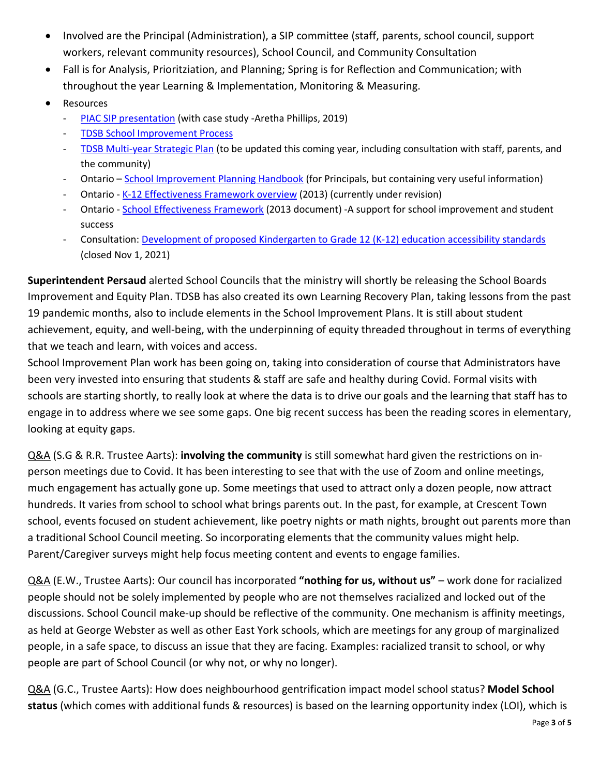- Involved are the Principal (Administration), a SIP committee (staff, parents, school council, support workers, relevant community resources), School Council, and Community Consultation
- Fall is for Analysis, Prioritziation, and Planning; Spring is for Reflection and Communication; with throughout the year Learning & Implementation, Monitoring & Measuring.
- **Resources** 
	- [PIAC SIP presentation](https://www.tdsb.on.ca/Portals/0/docs/School%20Improvement%20Plan%20-%20PIAC%202019.pdf) (with case study -Aretha Phillips, 2019)
	- [TDSB School Improvement Process](https://www.tdsb.on.ca/About-Us/Equity/School-Improvement-Process)
	- TDSB [Multi-year Strategic Plan](https://www.tdsb.on.ca/leadership/boardroom/multi-year-strategic-plan) (to be updated this coming year, including consultation with staff, parents, and the community)
	- Ontario [School Improvement Planning Handbook](http://www.edu.gov.on.ca/eng/document/reports/sihande.pdf) (for Principals, but containing very useful information)
	- Ontario [K-12 Effectiveness Framework overview](http://www.edu.gov.on.ca/eng/literacynumeracy/framework.html) (2013) (currently under revision)
	- Ontario [School Effectiveness Framework](http://www.edu.gov.on.ca/eng/literacynumeracy/SEF2013.pdf) (2013 document) -A support for school improvement and student success
	- Consultation[: Development of proposed Kindergarten to Grade 12 \(K-12\) education accessibility standards](https://www.ontario.ca/page/consultation-initial-recommendations-development-proposed-kindergarten-grade-12-k-12-education) (closed Nov 1, 2021)

**Superintendent Persaud** alerted School Councils that the ministry will shortly be releasing the School Boards Improvement and Equity Plan. TDSB has also created its own Learning Recovery Plan, taking lessons from the past 19 pandemic months, also to include elements in the School Improvement Plans. It is still about student achievement, equity, and well-being, with the underpinning of equity threaded throughout in terms of everything that we teach and learn, with voices and access.

School Improvement Plan work has been going on, taking into consideration of course that Administrators have been very invested into ensuring that students & staff are safe and healthy during Covid. Formal visits with schools are starting shortly, to really look at where the data is to drive our goals and the learning that staff has to engage in to address where we see some gaps. One big recent success has been the reading scores in elementary, looking at equity gaps.

Q&A (S.G & R.R. Trustee Aarts): **involving the community** is still somewhat hard given the restrictions on inperson meetings due to Covid. It has been interesting to see that with the use of Zoom and online meetings, much engagement has actually gone up. Some meetings that used to attract only a dozen people, now attract hundreds. It varies from school to school what brings parents out. In the past, for example, at Crescent Town school, events focused on student achievement, like poetry nights or math nights, brought out parents more than a traditional School Council meeting. So incorporating elements that the community values might help. Parent/Caregiver surveys might help focus meeting content and events to engage families.

Q&A (E.W., Trustee Aarts): Our council has incorporated **"nothing for us, without us"** – work done for racialized people should not be solely implemented by people who are not themselves racialized and locked out of the discussions. School Council make-up should be reflective of the community. One mechanism is affinity meetings, as held at George Webster as well as other East York schools, which are meetings for any group of marginalized people, in a safe space, to discuss an issue that they are facing. Examples: racialized transit to school, or why people are part of School Council (or why not, or why no longer).

Q&A (G.C., Trustee Aarts): How does neighbourhood gentrification impact model school status? **Model School status** (which comes with additional funds & resources) is based on the learning opportunity index (LOI), which is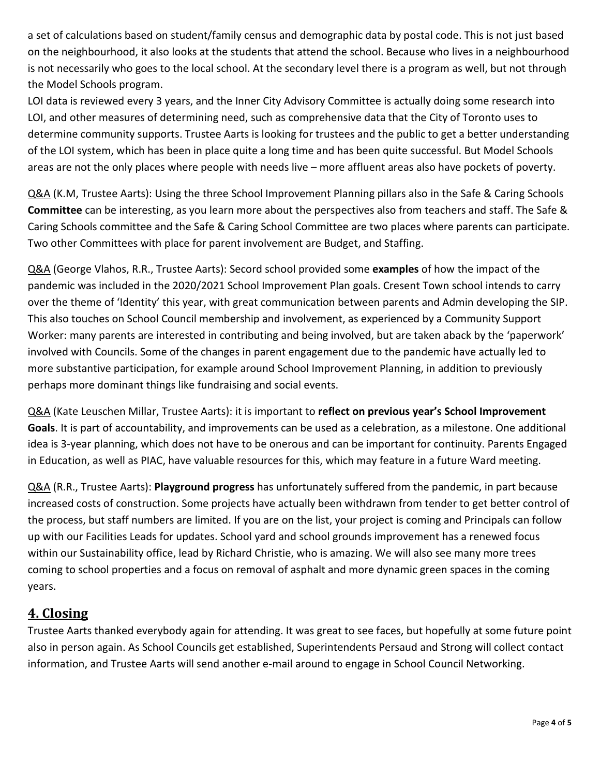a set of calculations based on student/family census and demographic data by postal code. This is not just based on the neighbourhood, it also looks at the students that attend the school. Because who lives in a neighbourhood is not necessarily who goes to the local school. At the secondary level there is a program as well, but not through the Model Schools program.

LOI data is reviewed every 3 years, and the Inner City Advisory Committee is actually doing some research into LOI, and other measures of determining need, such as comprehensive data that the City of Toronto uses to determine community supports. Trustee Aarts is looking for trustees and the public to get a better understanding of the LOI system, which has been in place quite a long time and has been quite successful. But Model Schools areas are not the only places where people with needs live – more affluent areas also have pockets of poverty.

Q&A (K.M, Trustee Aarts): Using the three School Improvement Planning pillars also in the Safe & Caring Schools **Committee** can be interesting, as you learn more about the perspectives also from teachers and staff. The Safe & Caring Schools committee and the Safe & Caring School Committee are two places where parents can participate. Two other Committees with place for parent involvement are Budget, and Staffing.

Q&A (George Vlahos, R.R., Trustee Aarts): Secord school provided some **examples** of how the impact of the pandemic was included in the 2020/2021 School Improvement Plan goals. Cresent Town school intends to carry over the theme of 'Identity' this year, with great communication between parents and Admin developing the SIP. This also touches on School Council membership and involvement, as experienced by a Community Support Worker: many parents are interested in contributing and being involved, but are taken aback by the 'paperwork' involved with Councils. Some of the changes in parent engagement due to the pandemic have actually led to more substantive participation, for example around School Improvement Planning, in addition to previously perhaps more dominant things like fundraising and social events.

Q&A (Kate Leuschen Millar, Trustee Aarts): it is important to **reflect on previous year's School Improvement Goals**. It is part of accountability, and improvements can be used as a celebration, as a milestone. One additional idea is 3-year planning, which does not have to be onerous and can be important for continuity. Parents Engaged in Education, as well as PIAC, have valuable resources for this, which may feature in a future Ward meeting.

Q&A (R.R., Trustee Aarts): **Playground progress** has unfortunately suffered from the pandemic, in part because increased costs of construction. Some projects have actually been withdrawn from tender to get better control of the process, but staff numbers are limited. If you are on the list, your project is coming and Principals can follow up with our Facilities Leads for updates. School yard and school grounds improvement has a renewed focus within our Sustainability office, lead by Richard Christie, who is amazing. We will also see many more trees coming to school properties and a focus on removal of asphalt and more dynamic green spaces in the coming years.

### **4. Closing**

Trustee Aarts thanked everybody again for attending. It was great to see faces, but hopefully at some future point also in person again. As School Councils get established, Superintendents Persaud and Strong will collect contact information, and Trustee Aarts will send another e-mail around to engage in School Council Networking.